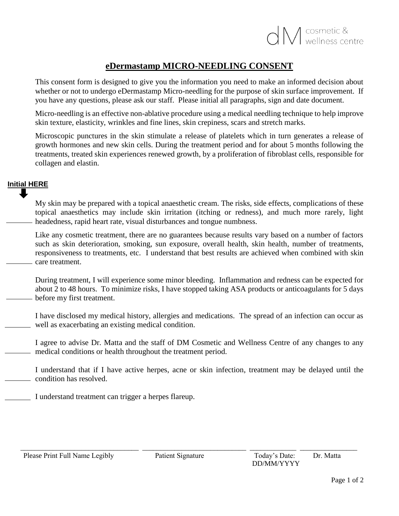## **eDermastamp MICRO-NEEDLING CONSENT**

This consent form is designed to give you the information you need to make an informed decision about whether or not to undergo eDermastamp Micro-needling for the purpose of skin surface improvement. If you have any questions, please ask our staff. Please initial all paragraphs, sign and date document.

Micro-needling is an effective non-ablative procedure using a medical needling technique to help improve skin texture, elasticity, wrinkles and fine lines, skin crepiness, scars and stretch marks.

Microscopic punctures in the skin stimulate a release of platelets which in turn generates a release of growth hormones and new skin cells. During the treatment period and for about 5 months following the treatments, treated skin experiences renewed growth, by a proliferation of fibroblast cells, responsible for collagen and elastin.

## **Initial HERE**

My skin may be prepared with a topical anaesthetic cream. The risks, side effects, complications of these topical anaesthetics may include skin irritation (itching or redness), and much more rarely, light headedness, rapid heart rate, visual disturbances and tongue numbness.

Like any cosmetic treatment, there are no guarantees because results vary based on a number of factors such as skin deterioration, smoking, sun exposure, overall health, skin health, number of treatments, responsiveness to treatments, etc. I understand that best results are achieved when combined with skin care treatment.

During treatment, I will experience some minor bleeding. Inflammation and redness can be expected for about 2 to 48 hours. To minimize risks, I have stopped taking ASA products or anticoagulants for 5 days before my first treatment.

I have disclosed my medical history, allergies and medications. The spread of an infection can occur as well as exacerbating an existing medical condition.

I agree to advise Dr. Matta and the staff of DM Cosmetic and Wellness Centre of any changes to any medical conditions or health throughout the treatment period.

I understand that if I have active herpes, acne or skin infection, treatment may be delayed until the condition has resolved.

I understand treatment can trigger a herpes flareup.

\_\_\_\_\_\_\_\_\_\_\_\_\_\_\_\_\_\_\_\_\_\_\_\_\_\_\_\_\_\_\_\_\_ \_\_\_\_\_\_\_\_\_\_\_\_\_\_\_\_\_\_\_\_\_\_\_\_\_\_\_\_\_ \_\_\_\_\_\_\_\_\_\_\_\_\_ \_\_\_\_\_\_\_\_\_\_\_\_\_\_\_\_